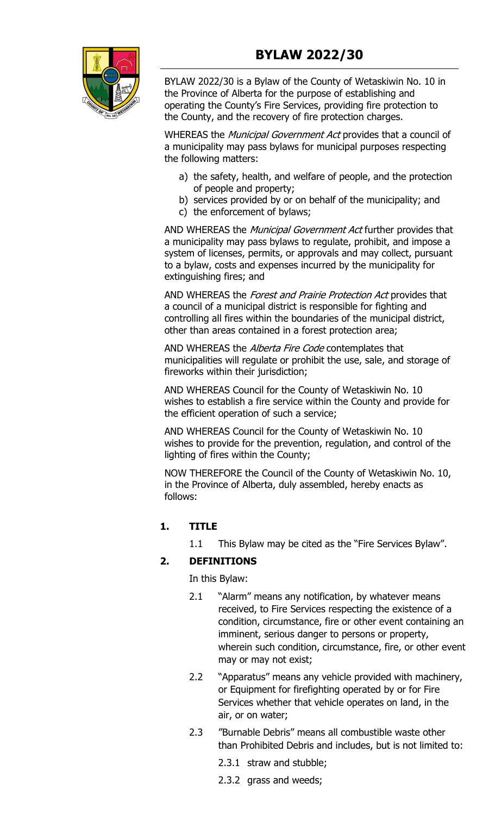

BYLAW 2022/30 is a Bylaw of the County of Wetaskiwin No. 10 in the Province of Alberta for the purpose of establishing and operating the County's Fire Services, providing fire protection to the County, and the recovery of fire protection charges.

WHEREAS the *Municipal Government Act* provides that a council of a municipality may pass bylaws for municipal purposes respecting the following matters:

- a) the safety, health, and welfare of people, and the protection of people and property;
- b) services provided by or on behalf of the municipality; and
- c) the enforcement of bylaws;

AND WHEREAS the Municipal Government Act further provides that a municipality may pass bylaws to regulate, prohibit, and impose a system of licenses, permits, or approvals and may collect, pursuant to a bylaw, costs and expenses incurred by the municipality for extinguishing fires; and

AND WHEREAS the Forest and Prairie Protection Act provides that a council of a municipal district is responsible for fighting and controlling all fires within the boundaries of the municipal district, other than areas contained in a forest protection area;

AND WHEREAS the *Alberta Fire Code* contemplates that municipalities will regulate or prohibit the use, sale, and storage of fireworks within their jurisdiction;

AND WHEREAS Council for the County of Wetaskiwin No. 10 wishes to establish a fire service within the County and provide for the efficient operation of such a service;

AND WHEREAS Council for the County of Wetaskiwin No. 10 wishes to provide for the prevention, regulation, and control of the lighting of fires within the County;

NOW THEREFORE the Council of the County of Wetaskiwin No. 10, in the Province of Alberta, duly assembled, hereby enacts as follows:

# **1. TITLE**

1.1 This Bylaw may be cited as the "Fire Services Bylaw".

# **2. DEFINITIONS**

In this Bylaw:

- 2.1 "Alarm" means any notification, by whatever means received, to Fire Services respecting the existence of a condition, circumstance, fire or other event containing an imminent, serious danger to persons or property, wherein such condition, circumstance, fire, or other event may or may not exist;
- 2.2 "Apparatus" means any vehicle provided with machinery, or Equipment for firefighting operated by or for Fire Services whether that vehicle operates on land, in the air, or on water;
- 2.3 "Burnable Debris" means all combustible waste other than Prohibited Debris and includes, but is not limited to:
	- 2.3.1 straw and stubble;
	- 2.3.2 grass and weeds;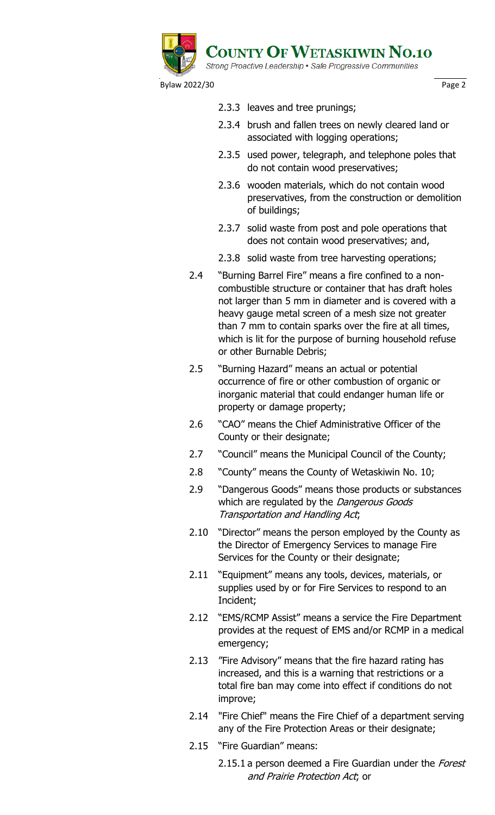

- 2.3.3 leaves and tree prunings;
- 2.3.4 brush and fallen trees on newly cleared land or associated with logging operations;
- 2.3.5 used power, telegraph, and telephone poles that do not contain wood preservatives;
- 2.3.6 wooden materials, which do not contain wood preservatives, from the construction or demolition of buildings;
- 2.3.7 solid waste from post and pole operations that does not contain wood preservatives; and,
- 2.3.8 solid waste from tree harvesting operations;
- 2.4 "Burning Barrel Fire" means a fire confined to a noncombustible structure or container that has draft holes not larger than 5 mm in diameter and is covered with a heavy gauge metal screen of a mesh size not greater than 7 mm to contain sparks over the fire at all times, which is lit for the purpose of burning household refuse or other Burnable Debris;
- 2.5 "Burning Hazard" means an actual or potential occurrence of fire or other combustion of organic or inorganic material that could endanger human life or property or damage property;
- 2.6 "CAO" means the Chief Administrative Officer of the County or their designate;
- 2.7 "Council" means the Municipal Council of the County;
- 2.8 "County" means the County of Wetaskiwin No. 10;
- 2.9 "Dangerous Goods" means those products or substances which are regulated by the *Dangerous Goods* Transportation and Handling Act;
- 2.10 "Director" means the person employed by the County as the Director of Emergency Services to manage Fire Services for the County or their designate;
- 2.11 "Equipment" means any tools, devices, materials, or supplies used by or for Fire Services to respond to an Incident;
- 2.12 "EMS/RCMP Assist" means a service the Fire Department provides at the request of EMS and/or RCMP in a medical emergency;
- 2.13 "Fire Advisory" means that the fire hazard rating has increased, and this is a warning that restrictions or a total fire ban may come into effect if conditions do not improve;
- 2.14 "Fire Chief" means the Fire Chief of a department serving any of the Fire Protection Areas or their designate;
- 2.15 "Fire Guardian" means:
	- 2.15.1 a person deemed a Fire Guardian under the Forest and Prairie Protection Act; or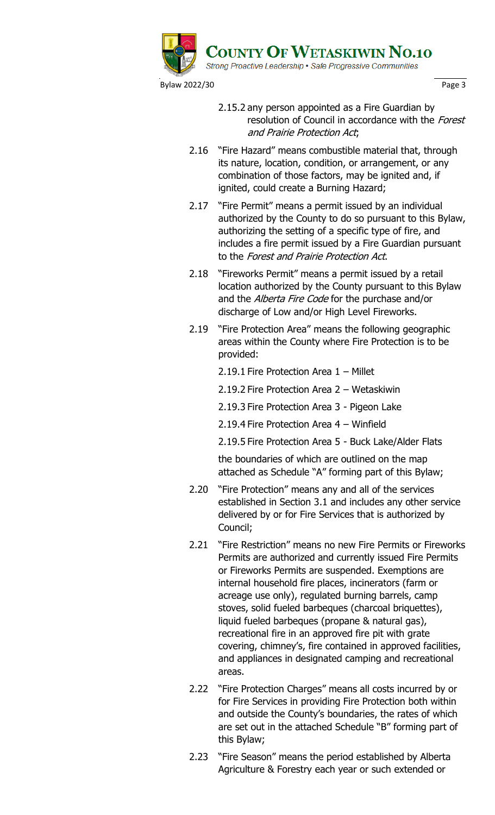

- 2.15.2 any person appointed as a Fire Guardian by resolution of Council in accordance with the Forest and Prairie Protection Act;
- 2.16 "Fire Hazard" means combustible material that, through its nature, location, condition, or arrangement, or any combination of those factors, may be ignited and, if ignited, could create a Burning Hazard;
- 2.17 "Fire Permit" means a permit issued by an individual authorized by the County to do so pursuant to this Bylaw, authorizing the setting of a specific type of fire, and includes a fire permit issued by a Fire Guardian pursuant to the Forest and Prairie Protection Act.
- 2.18 "Fireworks Permit" means a permit issued by a retail location authorized by the County pursuant to this Bylaw and the Alberta Fire Code for the purchase and/or discharge of Low and/or High Level Fireworks.
- 2.19 "Fire Protection Area" means the following geographic areas within the County where Fire Protection is to be provided:
	- 2.19.1 Fire Protection Area 1 Millet
	- 2.19.2 Fire Protection Area 2 Wetaskiwin
	- 2.19.3 Fire Protection Area 3 Pigeon Lake
	- 2.19.4 Fire Protection Area 4 Winfield
	- 2.19.5 Fire Protection Area 5 Buck Lake/Alder Flats

the boundaries of which are outlined on the map attached as Schedule "A" forming part of this Bylaw;

- 2.20 "Fire Protection" means any and all of the services established in Section 3.1 and includes any other service delivered by or for Fire Services that is authorized by Council;
- 2.21 "Fire Restriction" means no new Fire Permits or Fireworks Permits are authorized and currently issued Fire Permits or Fireworks Permits are suspended. Exemptions are internal household fire places, incinerators (farm or acreage use only), regulated burning barrels, camp stoves, solid fueled barbeques (charcoal briquettes), liquid fueled barbeques (propane & natural gas), recreational fire in an approved fire pit with grate covering, chimney's, fire contained in approved facilities, and appliances in designated camping and recreational areas.
- 2.22 "Fire Protection Charges" means all costs incurred by or for Fire Services in providing Fire Protection both within and outside the County's boundaries, the rates of which are set out in the attached Schedule "B" forming part of this Bylaw;
- 2.23 "Fire Season" means the period established by Alberta Agriculture & Forestry each year or such extended or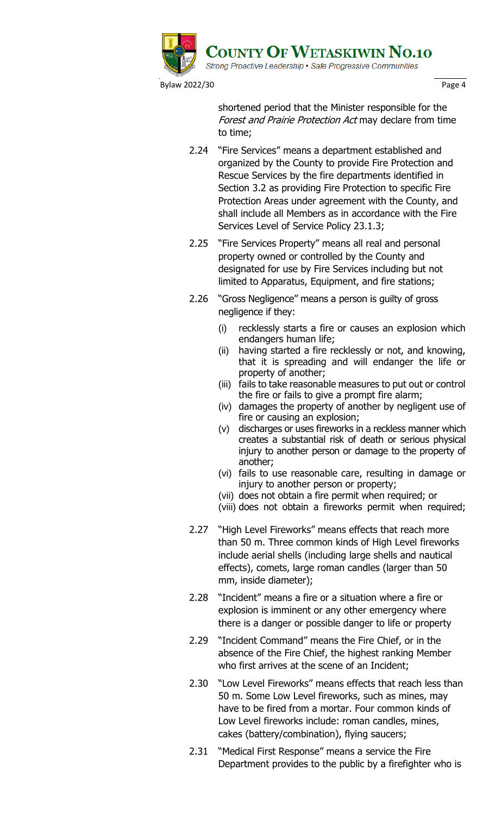

shortened period that the Minister responsible for the Forest and Prairie Protection Act may declare from time to time;

- 2.24 "Fire Services" means a department established and organized by the County to provide Fire Protection and Rescue Services by the fire departments identified in Section 3.2 as providing Fire Protection to specific Fire Protection Areas under agreement with the County, and shall include all Members as in accordance with the Fire Services Level of Service Policy 23.1.3;
- 2.25 "Fire Services Property" means all real and personal property owned or controlled by the County and designated for use by Fire Services including but not limited to Apparatus, Equipment, and fire stations;
- 2.26 "Gross Negligence" means a person is guilty of gross negligence if they:
	- (i) recklessly starts a fire or causes an explosion which endangers human life;
	- (ii) having started a fire recklessly or not, and knowing, that it is spreading and will endanger the life or property of another;
	- (iii) fails to take reasonable measures to put out or control the fire or fails to give a prompt fire alarm;
	- (iv) damages the property of another by negligent use of fire or causing an explosion;
	- (v) discharges or uses fireworks in a reckless manner which creates a substantial risk of death or serious physical injury to another person or damage to the property of another;
	- (vi) fails to use reasonable care, resulting in damage or injury to another person or property;
	- (vii) does not obtain a fire permit when required; or
	- (viii) does not obtain a fireworks permit when required;
- 2.27 "High Level Fireworks" means effects that reach more than 50 m. Three common kinds of High Level fireworks include aerial shells (including large shells and nautical effects), comets, large roman candles (larger than 50 mm, inside diameter);
- 2.28 "Incident" means a fire or a situation where a fire or explosion is imminent or any other emergency where there is a danger or possible danger to life or property
- 2.29 "Incident Command" means the Fire Chief, or in the absence of the Fire Chief, the highest ranking Member who first arrives at the scene of an Incident;
- 2.30 "Low Level Fireworks" means effects that reach less than 50 m. Some Low Level fireworks, such as mines, may have to be fired from a mortar. Four common kinds of Low Level fireworks include: roman candles, mines, cakes (battery/combination), flying saucers;
- 2.31 "Medical First Response" means a service the Fire Department provides to the public by a firefighter who is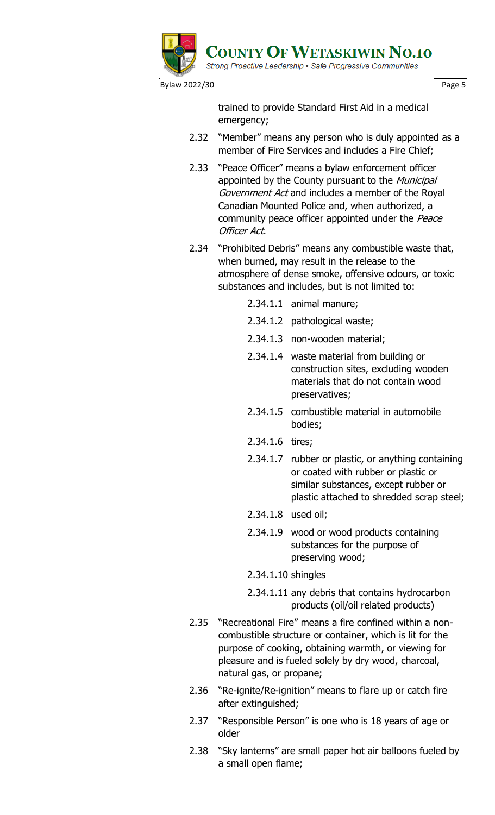

trained to provide Standard First Aid in a medical emergency;

- 2.32 "Member" means any person who is duly appointed as a member of Fire Services and includes a Fire Chief;
- 2.33 "Peace Officer" means a bylaw enforcement officer appointed by the County pursuant to the Municipal Government Act and includes a member of the Royal Canadian Mounted Police and, when authorized, a community peace officer appointed under the Peace Officer Act.
- 2.34 "Prohibited Debris" means any combustible waste that, when burned, may result in the release to the atmosphere of dense smoke, offensive odours, or toxic substances and includes, but is not limited to:
	- 2.34.1.1 animal manure;
	- 2.34.1.2 pathological waste;
	- 2.34.1.3 non-wooden material;
	- 2.34.1.4 waste material from building or construction sites, excluding wooden materials that do not contain wood preservatives;
	- 2.34.1.5 combustible material in automobile bodies;
	- 2.34.1.6 tires;
	- 2.34.1.7 rubber or plastic, or anything containing or coated with rubber or plastic or similar substances, except rubber or plastic attached to shredded scrap steel;
	- 2.34.1.8 used oil;
	- 2.34.1.9 wood or wood products containing substances for the purpose of preserving wood;
	- 2.34.1.10 shingles
	- 2.34.1.11 any debris that contains hydrocarbon products (oil/oil related products)
- 2.35 "Recreational Fire" means a fire confined within a noncombustible structure or container, which is lit for the purpose of cooking, obtaining warmth, or viewing for pleasure and is fueled solely by dry wood, charcoal, natural gas, or propane;
- 2.36 "Re-ignite/Re-ignition" means to flare up or catch fire after extinguished;
- 2.37 "Responsible Person" is one who is 18 years of age or older
- 2.38 "Sky lanterns" are small paper hot air balloons fueled by a small open flame;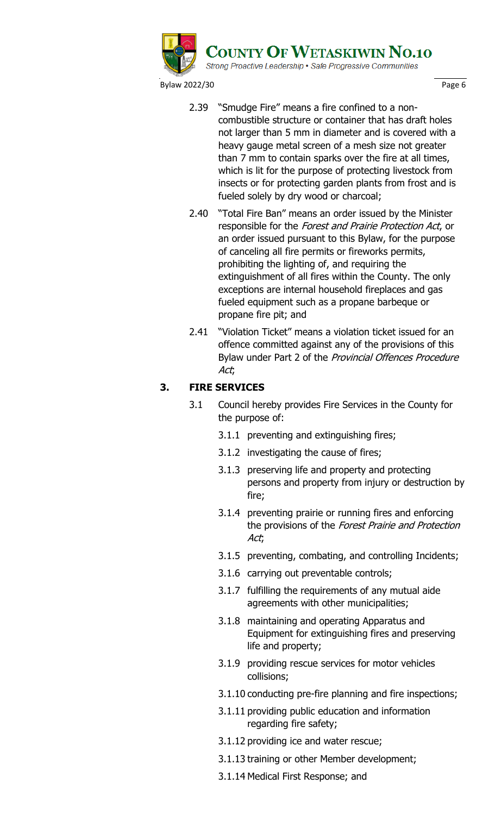

Bylaw 2022/30 **Page 6** Page 6

- 2.39 "Smudge Fire" means a fire confined to a noncombustible structure or container that has draft holes not larger than 5 mm in diameter and is covered with a heavy gauge metal screen of a mesh size not greater than 7 mm to contain sparks over the fire at all times, which is lit for the purpose of protecting livestock from insects or for protecting garden plants from frost and is fueled solely by dry wood or charcoal;
- 2.40 "Total Fire Ban" means an order issued by the Minister responsible for the Forest and Prairie Protection Act, or an order issued pursuant to this Bylaw, for the purpose of canceling all fire permits or fireworks permits, prohibiting the lighting of, and requiring the extinguishment of all fires within the County. The only exceptions are internal household fireplaces and gas fueled equipment such as a propane barbeque or propane fire pit; and
- 2.41 "Violation Ticket" means a violation ticket issued for an offence committed against any of the provisions of this Bylaw under Part 2 of the Provincial Offences Procedure Act;

# **3. FIRE SERVICES**

- 3.1 Council hereby provides Fire Services in the County for the purpose of:
	- 3.1.1 preventing and extinguishing fires;
	- 3.1.2 investigating the cause of fires;
	- 3.1.3 preserving life and property and protecting persons and property from injury or destruction by fire;
	- 3.1.4 preventing prairie or running fires and enforcing the provisions of the Forest Prairie and Protection Act;
	- 3.1.5 preventing, combating, and controlling Incidents;
	- 3.1.6 carrying out preventable controls;
	- 3.1.7 fulfilling the requirements of any mutual aide agreements with other municipalities;
	- 3.1.8 maintaining and operating Apparatus and Equipment for extinguishing fires and preserving life and property;
	- 3.1.9 providing rescue services for motor vehicles collisions;
	- 3.1.10 conducting pre-fire planning and fire inspections;
	- 3.1.11 providing public education and information regarding fire safety;
	- 3.1.12 providing ice and water rescue;
	- 3.1.13 training or other Member development;
	- 3.1.14 Medical First Response; and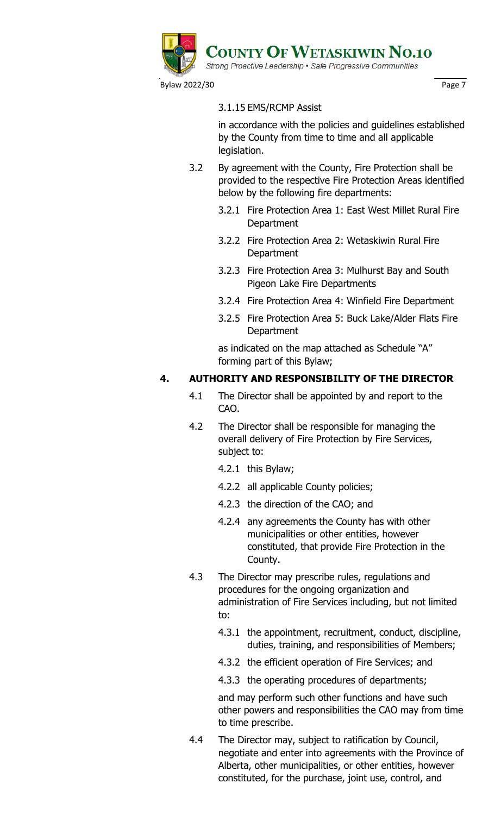

Bylaw 2022/30 **Page 7 Page 7** 

# 3.1.15 EMS/RCMP Assist

in accordance with the policies and guidelines established by the County from time to time and all applicable legislation.

- 3.2 By agreement with the County, Fire Protection shall be provided to the respective Fire Protection Areas identified below by the following fire departments:
	- 3.2.1 Fire Protection Area 1: East West Millet Rural Fire **Department**
	- 3.2.2 Fire Protection Area 2: Wetaskiwin Rural Fire Department
	- 3.2.3 Fire Protection Area 3: Mulhurst Bay and South Pigeon Lake Fire Departments
	- 3.2.4 Fire Protection Area 4: Winfield Fire Department
	- 3.2.5 Fire Protection Area 5: Buck Lake/Alder Flats Fire **Department**

as indicated on the map attached as Schedule "A" forming part of this Bylaw;

# **4. AUTHORITY AND RESPONSIBILITY OF THE DIRECTOR**

- 4.1 The Director shall be appointed by and report to the CAO.
- 4.2 The Director shall be responsible for managing the overall delivery of Fire Protection by Fire Services, subject to:
	- 4.2.1 this Bylaw;
	- 4.2.2 all applicable County policies;
	- 4.2.3 the direction of the CAO; and
	- 4.2.4 any agreements the County has with other municipalities or other entities, however constituted, that provide Fire Protection in the County.
- 4.3 The Director may prescribe rules, regulations and procedures for the ongoing organization and administration of Fire Services including, but not limited to:
	- 4.3.1 the appointment, recruitment, conduct, discipline, duties, training, and responsibilities of Members;
	- 4.3.2 the efficient operation of Fire Services; and
	- 4.3.3 the operating procedures of departments;

and may perform such other functions and have such other powers and responsibilities the CAO may from time to time prescribe.

4.4 The Director may, subject to ratification by Council, negotiate and enter into agreements with the Province of Alberta, other municipalities, or other entities, however constituted, for the purchase, joint use, control, and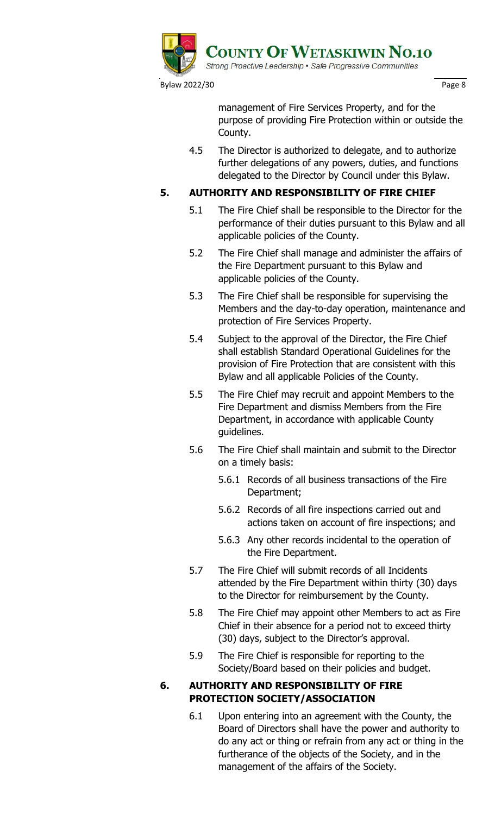

management of Fire Services Property, and for the purpose of providing Fire Protection within or outside the County.

4.5 The Director is authorized to delegate, and to authorize further delegations of any powers, duties, and functions delegated to the Director by Council under this Bylaw.

# **5. AUTHORITY AND RESPONSIBILITY OF FIRE CHIEF**

- 5.1 The Fire Chief shall be responsible to the Director for the performance of their duties pursuant to this Bylaw and all applicable policies of the County.
- 5.2 The Fire Chief shall manage and administer the affairs of the Fire Department pursuant to this Bylaw and applicable policies of the County.
- 5.3 The Fire Chief shall be responsible for supervising the Members and the day-to-day operation, maintenance and protection of Fire Services Property.
- 5.4 Subject to the approval of the Director, the Fire Chief shall establish Standard Operational Guidelines for the provision of Fire Protection that are consistent with this Bylaw and all applicable Policies of the County.
- 5.5 The Fire Chief may recruit and appoint Members to the Fire Department and dismiss Members from the Fire Department, in accordance with applicable County guidelines.
- 5.6 The Fire Chief shall maintain and submit to the Director on a timely basis:
	- 5.6.1 Records of all business transactions of the Fire Department;
	- 5.6.2 Records of all fire inspections carried out and actions taken on account of fire inspections; and
	- 5.6.3 Any other records incidental to the operation of the Fire Department.
- 5.7 The Fire Chief will submit records of all Incidents attended by the Fire Department within thirty (30) days to the Director for reimbursement by the County.
- 5.8 The Fire Chief may appoint other Members to act as Fire Chief in their absence for a period not to exceed thirty (30) days, subject to the Director's approval.
- 5.9 The Fire Chief is responsible for reporting to the Society/Board based on their policies and budget.

# **6. AUTHORITY AND RESPONSIBILITY OF FIRE PROTECTION SOCIETY/ASSOCIATION**

6.1 Upon entering into an agreement with the County, the Board of Directors shall have the power and authority to do any act or thing or refrain from any act or thing in the furtherance of the objects of the Society, and in the management of the affairs of the Society.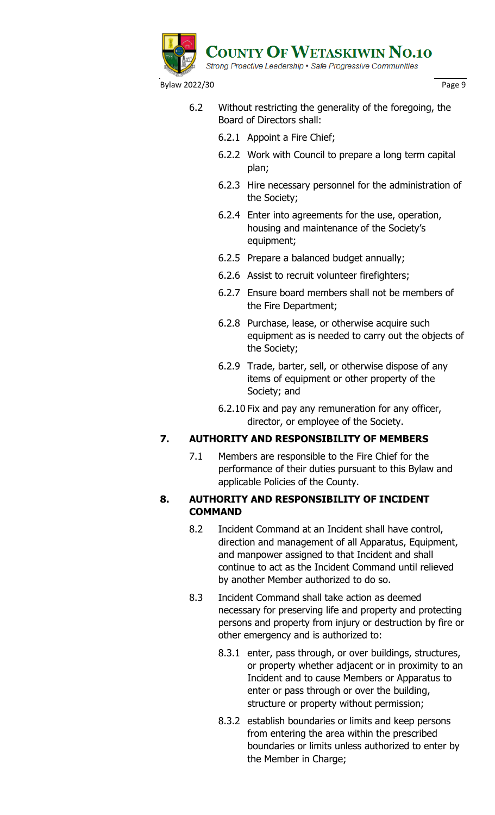

- 6.2 Without restricting the generality of the foregoing, the Board of Directors shall:
	- 6.2.1 Appoint a Fire Chief;
	- 6.2.2 Work with Council to prepare a long term capital plan;
	- 6.2.3 Hire necessary personnel for the administration of the Society;
	- 6.2.4 Enter into agreements for the use, operation, housing and maintenance of the Society's equipment;
	- 6.2.5 Prepare a balanced budget annually;
	- 6.2.6 Assist to recruit volunteer firefighters;
	- 6.2.7 Ensure board members shall not be members of the Fire Department;
	- 6.2.8 Purchase, lease, or otherwise acquire such equipment as is needed to carry out the objects of the Society;
	- 6.2.9 Trade, barter, sell, or otherwise dispose of any items of equipment or other property of the Society; and
	- 6.2.10 Fix and pay any remuneration for any officer, director, or employee of the Society.

# **7. AUTHORITY AND RESPONSIBILITY OF MEMBERS**

7.1 Members are responsible to the Fire Chief for the performance of their duties pursuant to this Bylaw and applicable Policies of the County.

# **8. AUTHORITY AND RESPONSIBILITY OF INCIDENT COMMAND**

- 8.2 Incident Command at an Incident shall have control, direction and management of all Apparatus, Equipment, and manpower assigned to that Incident and shall continue to act as the Incident Command until relieved by another Member authorized to do so.
- 8.3 Incident Command shall take action as deemed necessary for preserving life and property and protecting persons and property from injury or destruction by fire or other emergency and is authorized to:
	- 8.3.1 enter, pass through, or over buildings, structures, or property whether adjacent or in proximity to an Incident and to cause Members or Apparatus to enter or pass through or over the building, structure or property without permission;
	- 8.3.2 establish boundaries or limits and keep persons from entering the area within the prescribed boundaries or limits unless authorized to enter by the Member in Charge;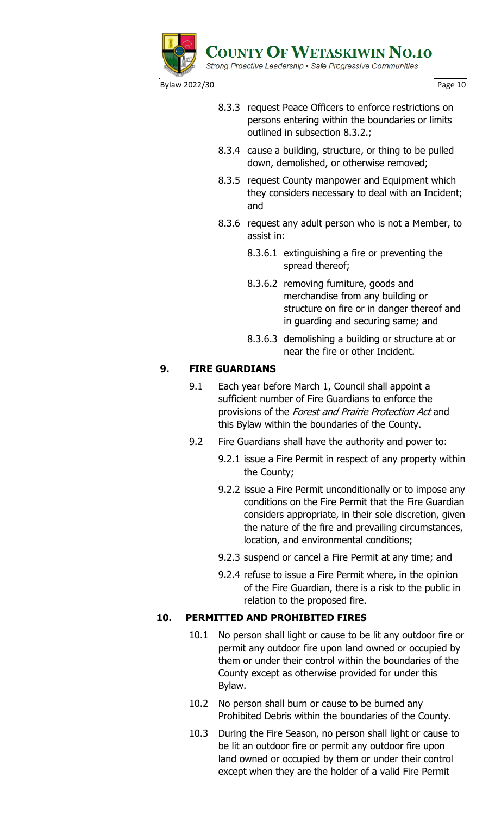

- 8.3.3 request Peace Officers to enforce restrictions on persons entering within the boundaries or limits outlined in subsection 8.3.2.;
- 8.3.4 cause a building, structure, or thing to be pulled down, demolished, or otherwise removed;
- 8.3.5 request County manpower and Equipment which they considers necessary to deal with an Incident; and
- 8.3.6 request any adult person who is not a Member, to assist in:
	- 8.3.6.1 extinguishing a fire or preventing the spread thereof;
	- 8.3.6.2 removing furniture, goods and merchandise from any building or structure on fire or in danger thereof and in guarding and securing same; and
	- 8.3.6.3 demolishing a building or structure at or near the fire or other Incident.

# **9. FIRE GUARDIANS**

- 9.1 Each year before March 1, Council shall appoint a sufficient number of Fire Guardians to enforce the provisions of the Forest and Prairie Protection Act and this Bylaw within the boundaries of the County.
- 9.2 Fire Guardians shall have the authority and power to:
	- 9.2.1 issue a Fire Permit in respect of any property within the County;
	- 9.2.2 issue a Fire Permit unconditionally or to impose any conditions on the Fire Permit that the Fire Guardian considers appropriate, in their sole discretion, given the nature of the fire and prevailing circumstances, location, and environmental conditions;
	- 9.2.3 suspend or cancel a Fire Permit at any time; and
	- 9.2.4 refuse to issue a Fire Permit where, in the opinion of the Fire Guardian, there is a risk to the public in relation to the proposed fire.

# **10. PERMITTED AND PROHIBITED FIRES**

- 10.1 No person shall light or cause to be lit any outdoor fire or permit any outdoor fire upon land owned or occupied by them or under their control within the boundaries of the County except as otherwise provided for under this Bylaw.
- 10.2 No person shall burn or cause to be burned any Prohibited Debris within the boundaries of the County.
- 10.3 During the Fire Season, no person shall light or cause to be lit an outdoor fire or permit any outdoor fire upon land owned or occupied by them or under their control except when they are the holder of a valid Fire Permit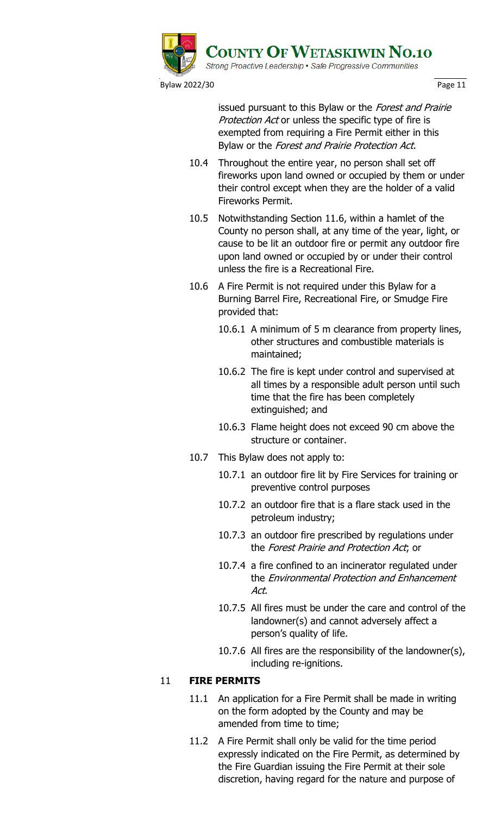

issued pursuant to this Bylaw or the Forest and Prairie Protection Act or unless the specific type of fire is exempted from requiring a Fire Permit either in this Bylaw or the Forest and Prairie Protection Act.

- 10.4 Throughout the entire year, no person shall set off fireworks upon land owned or occupied by them or under their control except when they are the holder of a valid Fireworks Permit.
- 10.5 Notwithstanding Section 11.6, within a hamlet of the County no person shall, at any time of the year, light, or cause to be lit an outdoor fire or permit any outdoor fire upon land owned or occupied by or under their control unless the fire is a Recreational Fire.
- 10.6 A Fire Permit is not required under this Bylaw for a Burning Barrel Fire, Recreational Fire, or Smudge Fire provided that:
	- 10.6.1 A minimum of 5 m clearance from property lines, other structures and combustible materials is maintained;
	- 10.6.2 The fire is kept under control and supervised at all times by a responsible adult person until such time that the fire has been completely extinguished; and
	- 10.6.3 Flame height does not exceed 90 cm above the structure or container.
- 10.7 This Bylaw does not apply to:
	- 10.7.1 an outdoor fire lit by Fire Services for training or preventive control purposes
	- 10.7.2 an outdoor fire that is a flare stack used in the petroleum industry;
	- 10.7.3 an outdoor fire prescribed by regulations under the Forest Prairie and Protection Act; or
	- 10.7.4 a fire confined to an incinerator regulated under the Environmental Protection and Enhancement Act.
	- 10.7.5 All fires must be under the care and control of the landowner(s) and cannot adversely affect a person's quality of life.
	- 10.7.6 All fires are the responsibility of the landowner(s), including re-ignitions.

# 11 **FIRE PERMITS**

- 11.1 An application for a Fire Permit shall be made in writing on the form adopted by the County and may be amended from time to time;
- 11.2 A Fire Permit shall only be valid for the time period expressly indicated on the Fire Permit, as determined by the Fire Guardian issuing the Fire Permit at their sole discretion, having regard for the nature and purpose of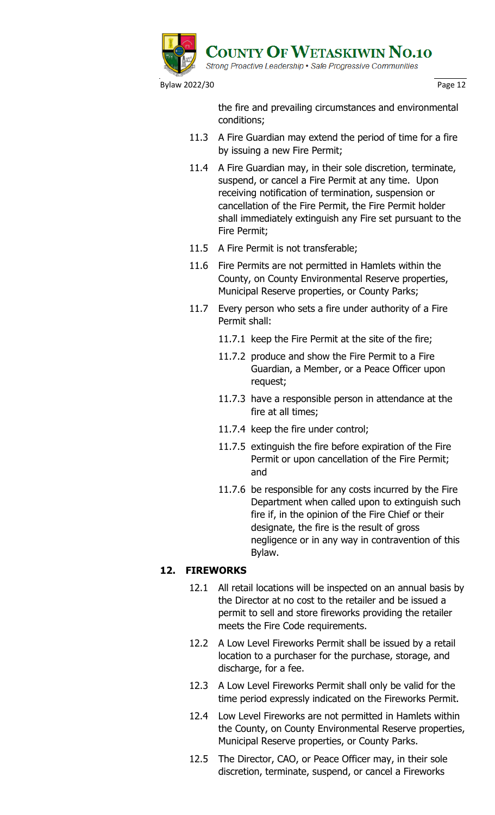

the fire and prevailing circumstances and environmental conditions;

- 11.3 A Fire Guardian may extend the period of time for a fire by issuing a new Fire Permit;
- 11.4 A Fire Guardian may, in their sole discretion, terminate, suspend, or cancel a Fire Permit at any time. Upon receiving notification of termination, suspension or cancellation of the Fire Permit, the Fire Permit holder shall immediately extinguish any Fire set pursuant to the Fire Permit;
- 11.5 A Fire Permit is not transferable;
- 11.6 Fire Permits are not permitted in Hamlets within the County, on County Environmental Reserve properties, Municipal Reserve properties, or County Parks;
- 11.7 Every person who sets a fire under authority of a Fire Permit shall:
	- 11.7.1 keep the Fire Permit at the site of the fire;
	- 11.7.2 produce and show the Fire Permit to a Fire Guardian, a Member, or a Peace Officer upon request;
	- 11.7.3 have a responsible person in attendance at the fire at all times;
	- 11.7.4 keep the fire under control;
	- 11.7.5 extinguish the fire before expiration of the Fire Permit or upon cancellation of the Fire Permit; and
	- 11.7.6 be responsible for any costs incurred by the Fire Department when called upon to extinguish such fire if, in the opinion of the Fire Chief or their designate, the fire is the result of gross negligence or in any way in contravention of this Bylaw.

# **12. FIREWORKS**

- 12.1 All retail locations will be inspected on an annual basis by the Director at no cost to the retailer and be issued a permit to sell and store fireworks providing the retailer meets the Fire Code requirements.
- 12.2 A Low Level Fireworks Permit shall be issued by a retail location to a purchaser for the purchase, storage, and discharge, for a fee.
- 12.3 A Low Level Fireworks Permit shall only be valid for the time period expressly indicated on the Fireworks Permit.
- 12.4 Low Level Fireworks are not permitted in Hamlets within the County, on County Environmental Reserve properties, Municipal Reserve properties, or County Parks.
- 12.5 The Director, CAO, or Peace Officer may, in their sole discretion, terminate, suspend, or cancel a Fireworks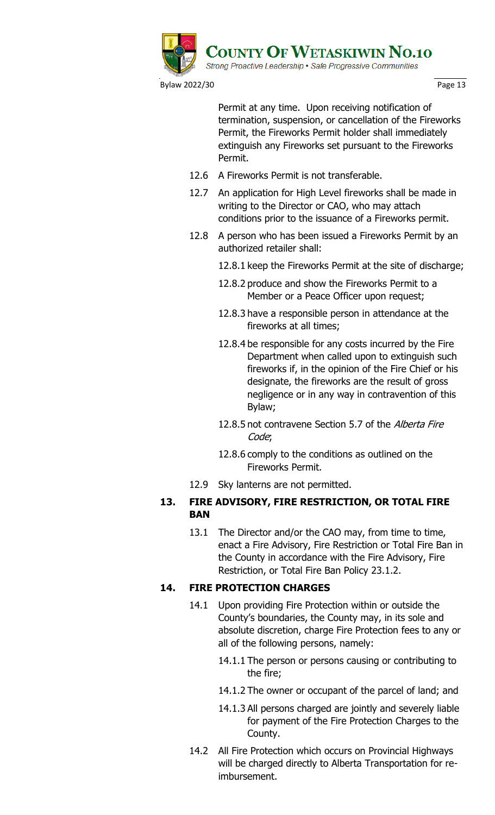

Permit at any time. Upon receiving notification of termination, suspension, or cancellation of the Fireworks Permit, the Fireworks Permit holder shall immediately extinguish any Fireworks set pursuant to the Fireworks Permit.

- 12.6 A Fireworks Permit is not transferable.
- 12.7 An application for High Level fireworks shall be made in writing to the Director or CAO, who may attach conditions prior to the issuance of a Fireworks permit.
- 12.8 A person who has been issued a Fireworks Permit by an authorized retailer shall:

12.8.1 keep the Fireworks Permit at the site of discharge;

- 12.8.2 produce and show the Fireworks Permit to a Member or a Peace Officer upon request;
- 12.8.3 have a responsible person in attendance at the fireworks at all times;
- 12.8.4 be responsible for any costs incurred by the Fire Department when called upon to extinguish such fireworks if, in the opinion of the Fire Chief or his designate, the fireworks are the result of gross negligence or in any way in contravention of this Bylaw;
- 12.8.5 not contravene Section 5.7 of the Alberta Fire Code;
- 12.8.6 comply to the conditions as outlined on the Fireworks Permit.
- 12.9 Sky lanterns are not permitted.

# **13. FIRE ADVISORY, FIRE RESTRICTION, OR TOTAL FIRE BAN**

13.1 The Director and/or the CAO may, from time to time, enact a Fire Advisory, Fire Restriction or Total Fire Ban in the County in accordance with the Fire Advisory, Fire Restriction, or Total Fire Ban Policy 23.1.2.

# **14. FIRE PROTECTION CHARGES**

- 14.1 Upon providing Fire Protection within or outside the County's boundaries, the County may, in its sole and absolute discretion, charge Fire Protection fees to any or all of the following persons, namely:
	- 14.1.1 The person or persons causing or contributing to the fire;
	- 14.1.2 The owner or occupant of the parcel of land; and
	- 14.1.3 All persons charged are jointly and severely liable for payment of the Fire Protection Charges to the County.
- 14.2 All Fire Protection which occurs on Provincial Highways will be charged directly to Alberta Transportation for reimbursement.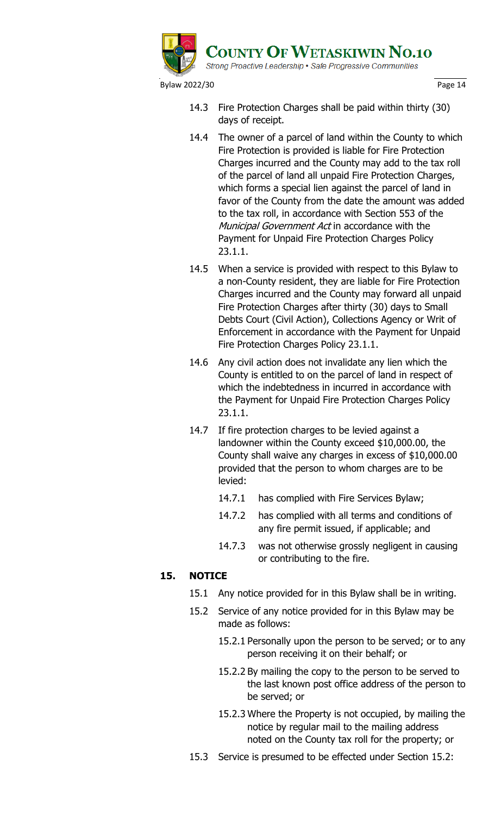

- 14.3 Fire Protection Charges shall be paid within thirty (30) days of receipt.
- 14.4 The owner of a parcel of land within the County to which Fire Protection is provided is liable for Fire Protection Charges incurred and the County may add to the tax roll of the parcel of land all unpaid Fire Protection Charges, which forms a special lien against the parcel of land in favor of the County from the date the amount was added to the tax roll, in accordance with Section 553 of the Municipal Government Act in accordance with the Payment for Unpaid Fire Protection Charges Policy 23.1.1.
- 14.5 When a service is provided with respect to this Bylaw to a non-County resident, they are liable for Fire Protection Charges incurred and the County may forward all unpaid Fire Protection Charges after thirty (30) days to Small Debts Court (Civil Action), Collections Agency or Writ of Enforcement in accordance with the Payment for Unpaid Fire Protection Charges Policy 23.1.1.
- 14.6 Any civil action does not invalidate any lien which the County is entitled to on the parcel of land in respect of which the indebtedness in incurred in accordance with the Payment for Unpaid Fire Protection Charges Policy 23.1.1.
- 14.7 If fire protection charges to be levied against a landowner within the County exceed \$10,000.00, the County shall waive any charges in excess of \$10,000.00 provided that the person to whom charges are to be levied:
	- 14.7.1 has complied with Fire Services Bylaw;
	- 14.7.2 has complied with all terms and conditions of any fire permit issued, if applicable; and
	- 14.7.3 was not otherwise grossly negligent in causing or contributing to the fire.

# **15. NOTICE**

- 15.1 Any notice provided for in this Bylaw shall be in writing.
- 15.2 Service of any notice provided for in this Bylaw may be made as follows:
	- 15.2.1 Personally upon the person to be served; or to any person receiving it on their behalf; or
	- 15.2.2 By mailing the copy to the person to be served to the last known post office address of the person to be served; or
	- 15.2.3 Where the Property is not occupied, by mailing the notice by regular mail to the mailing address noted on the County tax roll for the property; or
- 15.3 Service is presumed to be effected under Section 15.2: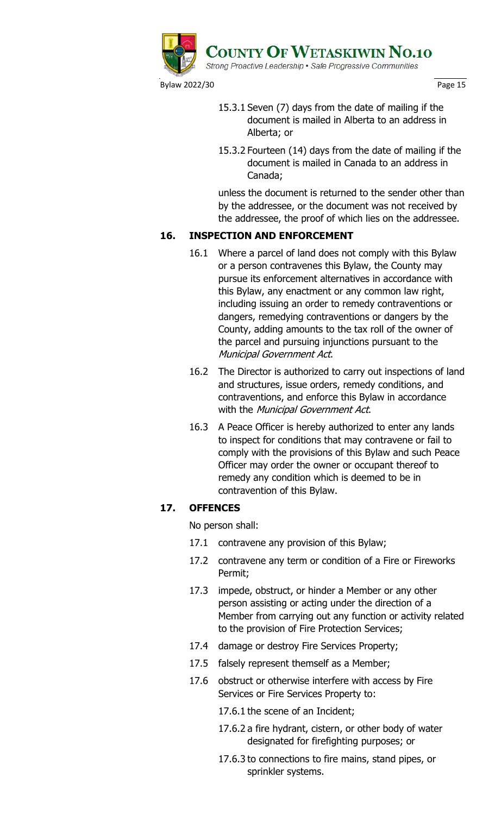

- 15.3.1 Seven (7) days from the date of mailing if the document is mailed in Alberta to an address in Alberta; or
- 15.3.2 Fourteen (14) days from the date of mailing if the document is mailed in Canada to an address in Canada;

unless the document is returned to the sender other than by the addressee, or the document was not received by the addressee, the proof of which lies on the addressee.

# **16. INSPECTION AND ENFORCEMENT**

- 16.1 Where a parcel of land does not comply with this Bylaw or a person contravenes this Bylaw, the County may pursue its enforcement alternatives in accordance with this Bylaw, any enactment or any common law right, including issuing an order to remedy contraventions or dangers, remedying contraventions or dangers by the County, adding amounts to the tax roll of the owner of the parcel and pursuing injunctions pursuant to the Municipal Government Act.
- 16.2 The Director is authorized to carry out inspections of land and structures, issue orders, remedy conditions, and contraventions, and enforce this Bylaw in accordance with the Municipal Government Act.
- 16.3 A Peace Officer is hereby authorized to enter any lands to inspect for conditions that may contravene or fail to comply with the provisions of this Bylaw and such Peace Officer may order the owner or occupant thereof to remedy any condition which is deemed to be in contravention of this Bylaw.

# **17. OFFENCES**

No person shall:

- 17.1 contravene any provision of this Bylaw;
- 17.2 contravene any term or condition of a Fire or Fireworks Permit;
- 17.3 impede, obstruct, or hinder a Member or any other person assisting or acting under the direction of a Member from carrying out any function or activity related to the provision of Fire Protection Services;
- 17.4 damage or destroy Fire Services Property;
- 17.5 falsely represent themself as a Member;
- 17.6 obstruct or otherwise interfere with access by Fire Services or Fire Services Property to:
	- 17.6.1 the scene of an Incident;
	- 17.6.2 a fire hydrant, cistern, or other body of water designated for firefighting purposes; or
	- 17.6.3 to connections to fire mains, stand pipes, or sprinkler systems.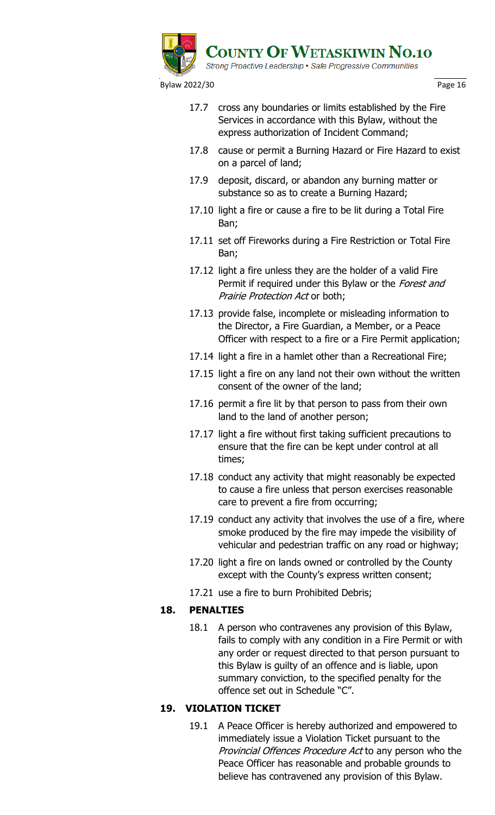

- 17.7 cross any boundaries or limits established by the Fire Services in accordance with this Bylaw, without the express authorization of Incident Command;
- 17.8 cause or permit a Burning Hazard or Fire Hazard to exist on a parcel of land;
- 17.9 deposit, discard, or abandon any burning matter or substance so as to create a Burning Hazard;
- 17.10 light a fire or cause a fire to be lit during a Total Fire Ban;
- 17.11 set off Fireworks during a Fire Restriction or Total Fire Ban;
- 17.12 light a fire unless they are the holder of a valid Fire Permit if required under this Bylaw or the Forest and Prairie Protection Act or both;
- 17.13 provide false, incomplete or misleading information to the Director, a Fire Guardian, a Member, or a Peace Officer with respect to a fire or a Fire Permit application;
- 17.14 light a fire in a hamlet other than a Recreational Fire;
- 17.15 light a fire on any land not their own without the written consent of the owner of the land;
- 17.16 permit a fire lit by that person to pass from their own land to the land of another person;
- 17.17 light a fire without first taking sufficient precautions to ensure that the fire can be kept under control at all times;
- 17.18 conduct any activity that might reasonably be expected to cause a fire unless that person exercises reasonable care to prevent a fire from occurring;
- 17.19 conduct any activity that involves the use of a fire, where smoke produced by the fire may impede the visibility of vehicular and pedestrian traffic on any road or highway;
- 17.20 light a fire on lands owned or controlled by the County except with the County's express written consent;
- 17.21 use a fire to burn Prohibited Debris;

# **18. PENALTIES**

18.1 A person who contravenes any provision of this Bylaw, fails to comply with any condition in a Fire Permit or with any order or request directed to that person pursuant to this Bylaw is guilty of an offence and is liable, upon summary conviction, to the specified penalty for the offence set out in Schedule "C".

# **19. VIOLATION TICKET**

19.1 A Peace Officer is hereby authorized and empowered to immediately issue a Violation Ticket pursuant to the Provincial Offences Procedure Act to any person who the Peace Officer has reasonable and probable grounds to believe has contravened any provision of this Bylaw.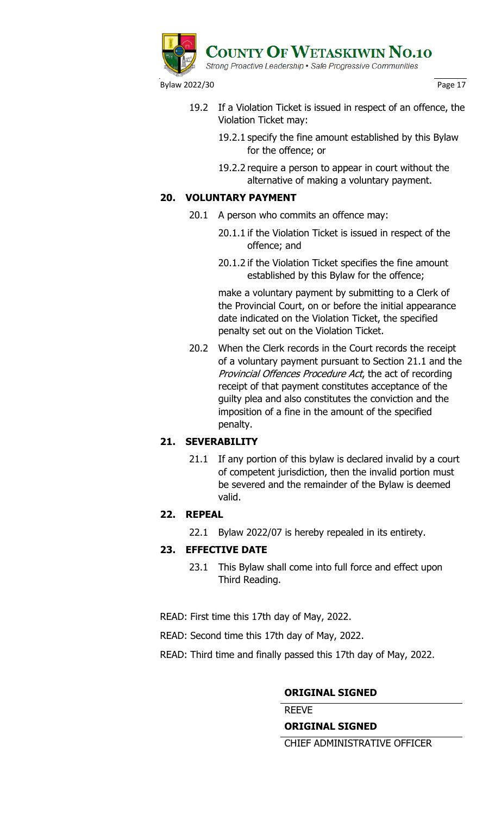

- 19.2 If a Violation Ticket is issued in respect of an offence, the Violation Ticket may:
	- 19.2.1 specify the fine amount established by this Bylaw for the offence; or
	- 19.2.2 require a person to appear in court without the alternative of making a voluntary payment.

# **20. VOLUNTARY PAYMENT**

- 20.1 A person who commits an offence may:
	- 20.1.1 if the Violation Ticket is issued in respect of the offence; and
	- 20.1.2 if the Violation Ticket specifies the fine amount established by this Bylaw for the offence;

make a voluntary payment by submitting to a Clerk of the Provincial Court, on or before the initial appearance date indicated on the Violation Ticket, the specified penalty set out on the Violation Ticket.

20.2 When the Clerk records in the Court records the receipt of a voluntary payment pursuant to Section 21.1 and the Provincial Offences Procedure Act, the act of recording receipt of that payment constitutes acceptance of the guilty plea and also constitutes the conviction and the imposition of a fine in the amount of the specified penalty.

# **21. SEVERABILITY**

21.1 If any portion of this bylaw is declared invalid by a court of competent jurisdiction, then the invalid portion must be severed and the remainder of the Bylaw is deemed valid.

# **22. REPEAL**

22.1 Bylaw 2022/07 is hereby repealed in its entirety.

# **23. EFFECTIVE DATE**

23.1 This Bylaw shall come into full force and effect upon Third Reading.

READ: First time this 17th day of May, 2022.

READ: Second time this 17th day of May, 2022.

READ: Third time and finally passed this 17th day of May, 2022.

# **ORIGINAL SIGNED**

REEVE

# **ORIGINAL SIGNED**

CHIEF ADMINISTRATIVE OFFICER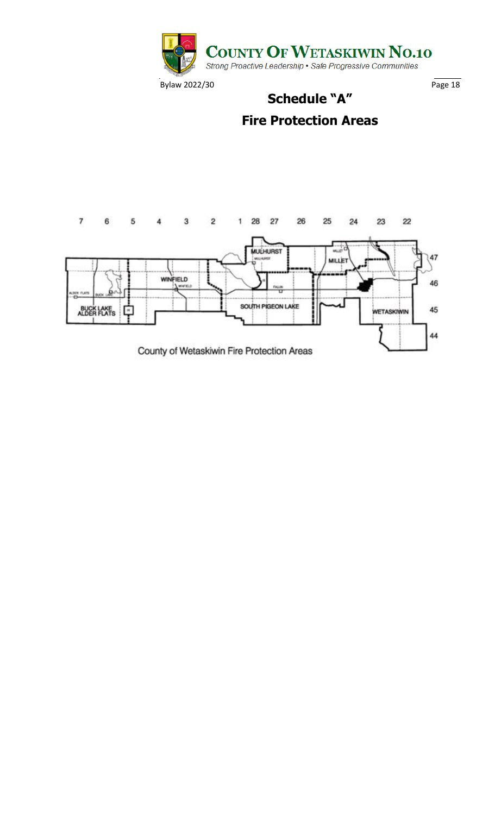

# **Fire Protection Areas**

**Schedule "A"**

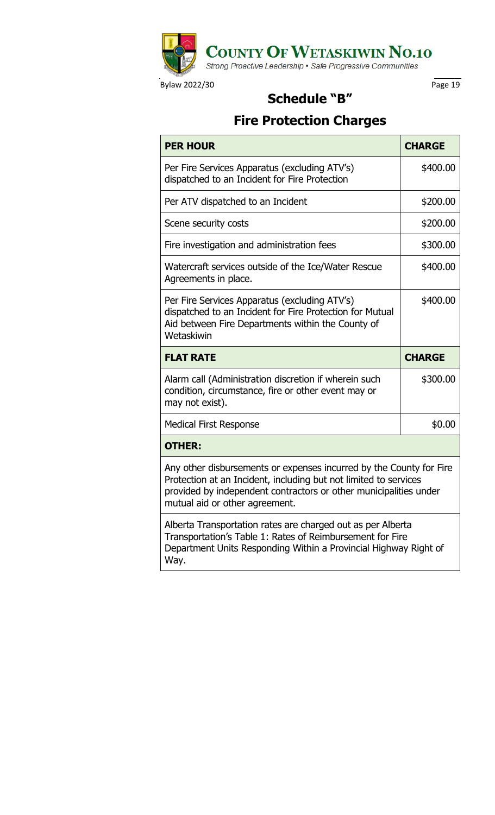

# **Schedule "B"**

# **Fire Protection Charges**

| <b>PER HOUR</b>                                                                                                                                                                                                                                | <b>CHARGE</b> |
|------------------------------------------------------------------------------------------------------------------------------------------------------------------------------------------------------------------------------------------------|---------------|
| Per Fire Services Apparatus (excluding ATV's)<br>dispatched to an Incident for Fire Protection                                                                                                                                                 | \$400.00      |
| Per ATV dispatched to an Incident                                                                                                                                                                                                              | \$200.00      |
| Scene security costs                                                                                                                                                                                                                           | \$200.00      |
| Fire investigation and administration fees                                                                                                                                                                                                     | \$300.00      |
| Watercraft services outside of the Ice/Water Rescue<br>Agreements in place.                                                                                                                                                                    | \$400.00      |
| Per Fire Services Apparatus (excluding ATV's)<br>dispatched to an Incident for Fire Protection for Mutual<br>Aid between Fire Departments within the County of<br>Wetaskiwin                                                                   | \$400.00      |
|                                                                                                                                                                                                                                                |               |
| <b>FLAT RATE</b>                                                                                                                                                                                                                               | <b>CHARGE</b> |
| Alarm call (Administration discretion if wherein such<br>condition, circumstance, fire or other event may or<br>may not exist).                                                                                                                | \$300.00      |
| <b>Medical First Response</b>                                                                                                                                                                                                                  | \$0.00        |
| <b>OTHER:</b>                                                                                                                                                                                                                                  |               |
| Any other disbursements or expenses incurred by the County for Fire<br>Protection at an Incident, including but not limited to services<br>provided by independent contractors or other municipalities under<br>mutual aid or other agreement. |               |

Way.